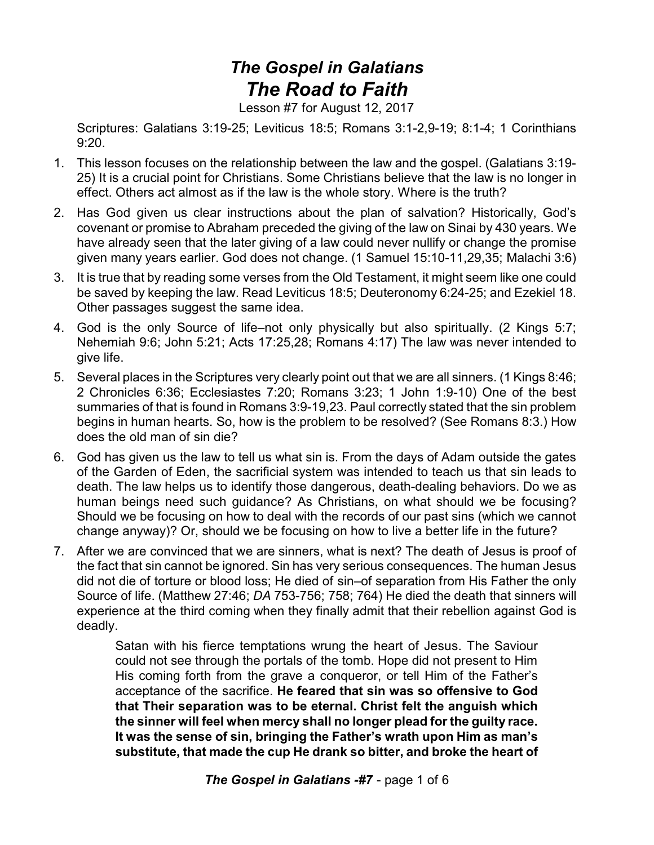## *The Gospel in Galatians The Road to Faith*

Lesson #7 for August 12, 2017

Scriptures: Galatians 3:19-25; Leviticus 18:5; Romans 3:1-2,9-19; 8:1-4; 1 Corinthians 9:20.

- 1. This lesson focuses on the relationship between the law and the gospel. (Galatians 3:19- 25) It is a crucial point for Christians. Some Christians believe that the law is no longer in effect. Others act almost as if the law is the whole story. Where is the truth?
- 2. Has God given us clear instructions about the plan of salvation? Historically, God's covenant or promise to Abraham preceded the giving of the law on Sinai by 430 years. We have already seen that the later giving of a law could never nullify or change the promise given many years earlier. God does not change. (1 Samuel 15:10-11,29,35; Malachi 3:6)
- 3. It is true that by reading some verses from the Old Testament, it might seem like one could be saved by keeping the law. Read Leviticus 18:5; Deuteronomy 6:24-25; and Ezekiel 18. Other passages suggest the same idea.
- 4. God is the only Source of life–not only physically but also spiritually. (2 Kings 5:7; Nehemiah 9:6; John 5:21; Acts 17:25,28; Romans 4:17) The law was never intended to give life.
- 5. Several places in the Scriptures very clearly point out that we are all sinners. (1 Kings 8:46; 2 Chronicles 6:36; Ecclesiastes 7:20; Romans 3:23; 1 John 1:9-10) One of the best summaries of that is found in Romans 3:9-19,23. Paul correctly stated that the sin problem begins in human hearts. So, how is the problem to be resolved? (See Romans 8:3.) How does the old man of sin die?
- 6. God has given us the law to tell us what sin is. From the days of Adam outside the gates of the Garden of Eden, the sacrificial system was intended to teach us that sin leads to death. The law helps us to identify those dangerous, death-dealing behaviors. Do we as human beings need such guidance? As Christians, on what should we be focusing? Should we be focusing on how to deal with the records of our past sins (which we cannot change anyway)? Or, should we be focusing on how to live a better life in the future?
- 7. After we are convinced that we are sinners, what is next? The death of Jesus is proof of the fact that sin cannot be ignored. Sin has very serious consequences. The human Jesus did not die of torture or blood loss; He died of sin–of separation from His Father the only Source of life. (Matthew 27:46; *DA* 753-756; 758; 764) He died the death that sinners will experience at the third coming when they finally admit that their rebellion against God is deadly.

Satan with his fierce temptations wrung the heart of Jesus. The Saviour could not see through the portals of the tomb. Hope did not present to Him His coming forth from the grave a conqueror, or tell Him of the Father's acceptance of the sacrifice. **He feared that sin was so offensive to God that Their separation was to be eternal. Christ felt the anguish which the sinner will feel when mercy shall no longer plead for the guilty race. It was the sense of sin, bringing the Father's wrath upon Him as man's substitute, that made the cup He drank so bitter, and broke the heart of**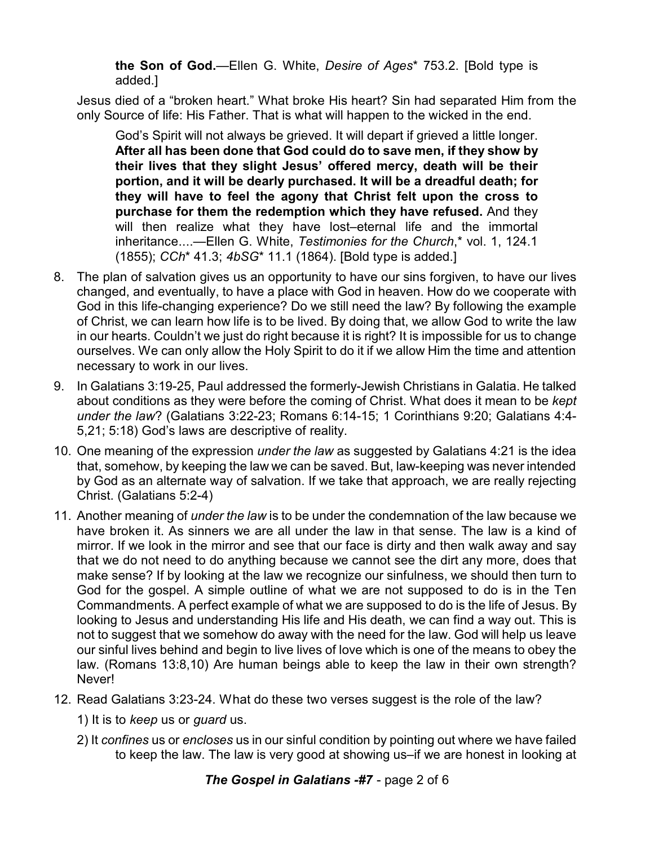**the Son of God.**—Ellen G. White, *Desire of Ages*\* 753.2. [Bold type is added.]

Jesus died of a "broken heart." What broke His heart? Sin had separated Him from the only Source of life: His Father. That is what will happen to the wicked in the end.

God's Spirit will not always be grieved. It will depart if grieved a little longer. **After all has been done that God could do to save men, if they show by their lives that they slight Jesus' offered mercy, death will be their portion, and it will be dearly purchased. It will be a dreadful death; for they will have to feel the agony that Christ felt upon the cross to purchase for them the redemption which they have refused.** And they will then realize what they have lost–eternal life and the immortal inheritance....—Ellen G. White, *Testimonies for the Church*,\* vol. 1, 124.1 (1855); *CCh*\* 41.3; *4bSG*\* 11.1 (1864). [Bold type is added.]

- 8. The plan of salvation gives us an opportunity to have our sins forgiven, to have our lives changed, and eventually, to have a place with God in heaven. How do we cooperate with God in this life-changing experience? Do we still need the law? By following the example of Christ, we can learn how life is to be lived. By doing that, we allow God to write the law in our hearts. Couldn't we just do right because it is right? It is impossible for us to change ourselves. We can only allow the Holy Spirit to do it if we allow Him the time and attention necessary to work in our lives.
- 9. In Galatians 3:19-25, Paul addressed the formerly-Jewish Christians in Galatia. He talked about conditions as they were before the coming of Christ. What does it mean to be *kept under the law*? (Galatians 3:22-23; Romans 6:14-15; 1 Corinthians 9:20; Galatians 4:4- 5,21; 5:18) God's laws are descriptive of reality.
- 10. One meaning of the expression *under the law* as suggested by Galatians 4:21 is the idea that, somehow, by keeping the law we can be saved. But, law-keeping was never intended by God as an alternate way of salvation. If we take that approach, we are really rejecting Christ. (Galatians 5:2-4)
- 11. Another meaning of *under the law* is to be under the condemnation of the law because we have broken it. As sinners we are all under the law in that sense. The law is a kind of mirror. If we look in the mirror and see that our face is dirty and then walk away and say that we do not need to do anything because we cannot see the dirt any more, does that make sense? If by looking at the law we recognize our sinfulness, we should then turn to God for the gospel. A simple outline of what we are not supposed to do is in the Ten Commandments. A perfect example of what we are supposed to do is the life of Jesus. By looking to Jesus and understanding His life and His death, we can find a way out. This is not to suggest that we somehow do away with the need for the law. God will help us leave our sinful lives behind and begin to live lives of love which is one of the means to obey the law. (Romans 13:8,10) Are human beings able to keep the law in their own strength? Never!
- 12. Read Galatians 3:23-24. What do these two verses suggest is the role of the law?
	- 1) It is to *keep* us or *guard* us.
	- 2) It *confines* us or *encloses* us in our sinful condition by pointing out where we have failed to keep the law. The law is very good at showing us–if we are honest in looking at

*The Gospel in Galatians -#7* - page 2 of 6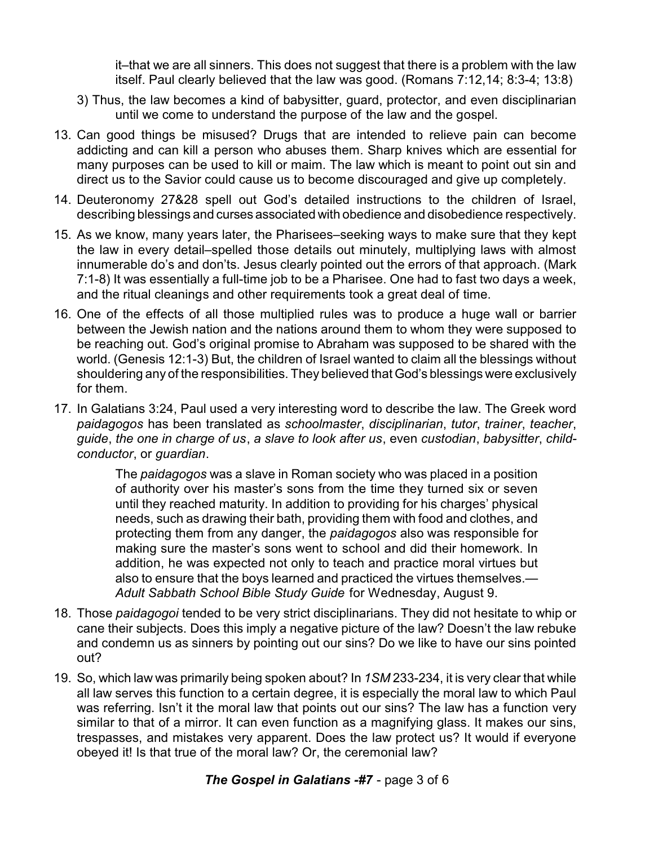it–that we are all sinners. This does not suggest that there is a problem with the law itself. Paul clearly believed that the law was good. (Romans 7:12,14; 8:3-4; 13:8)

- 3) Thus, the law becomes a kind of babysitter, guard, protector, and even disciplinarian until we come to understand the purpose of the law and the gospel.
- 13. Can good things be misused? Drugs that are intended to relieve pain can become addicting and can kill a person who abuses them. Sharp knives which are essential for many purposes can be used to kill or maim. The law which is meant to point out sin and direct us to the Savior could cause us to become discouraged and give up completely.
- 14. Deuteronomy 27&28 spell out God's detailed instructions to the children of Israel, describing blessings and curses associated with obedience and disobedience respectively.
- 15. As we know, many years later, the Pharisees–seeking ways to make sure that they kept the law in every detail–spelled those details out minutely, multiplying laws with almost innumerable do's and don'ts. Jesus clearly pointed out the errors of that approach. (Mark 7:1-8) It was essentially a full-time job to be a Pharisee. One had to fast two days a week, and the ritual cleanings and other requirements took a great deal of time.
- 16. One of the effects of all those multiplied rules was to produce a huge wall or barrier between the Jewish nation and the nations around them to whom they were supposed to be reaching out. God's original promise to Abraham was supposed to be shared with the world. (Genesis 12:1-3) But, the children of Israel wanted to claim all the blessings without shouldering any of the responsibilities. They believed that God's blessings were exclusively for them.
- 17. In Galatians 3:24, Paul used a very interesting word to describe the law. The Greek word *paidagogos* has been translated as *schoolmaster*, *disciplinarian*, *tutor*, *trainer*, *teacher*, *guide*, *the one in charge of us*, *a slave to look after us*, even *custodian*, *babysitter*, *childconductor*, or *guardian*.

The *paidagogos* was a slave in Roman society who was placed in a position of authority over his master's sons from the time they turned six or seven until they reached maturity. In addition to providing for his charges' physical needs, such as drawing their bath, providing them with food and clothes, and protecting them from any danger, the *paidagogos* also was responsible for making sure the master's sons went to school and did their homework. In addition, he was expected not only to teach and practice moral virtues but also to ensure that the boys learned and practiced the virtues themselves.— *Adult Sabbath School Bible Study Guide* for Wednesday, August 9.

- 18. Those *paidagogoi* tended to be very strict disciplinarians. They did not hesitate to whip or cane their subjects. Does this imply a negative picture of the law? Doesn't the law rebuke and condemn us as sinners by pointing out our sins? Do we like to have our sins pointed out?
- 19. So, which law was primarily being spoken about? In *1SM* 233-234, it is very clear that while all law serves this function to a certain degree, it is especially the moral law to which Paul was referring. Isn't it the moral law that points out our sins? The law has a function very similar to that of a mirror. It can even function as a magnifying glass. It makes our sins, trespasses, and mistakes very apparent. Does the law protect us? It would if everyone obeyed it! Is that true of the moral law? Or, the ceremonial law?

## *The Gospel in Galatians -#7* - page 3 of 6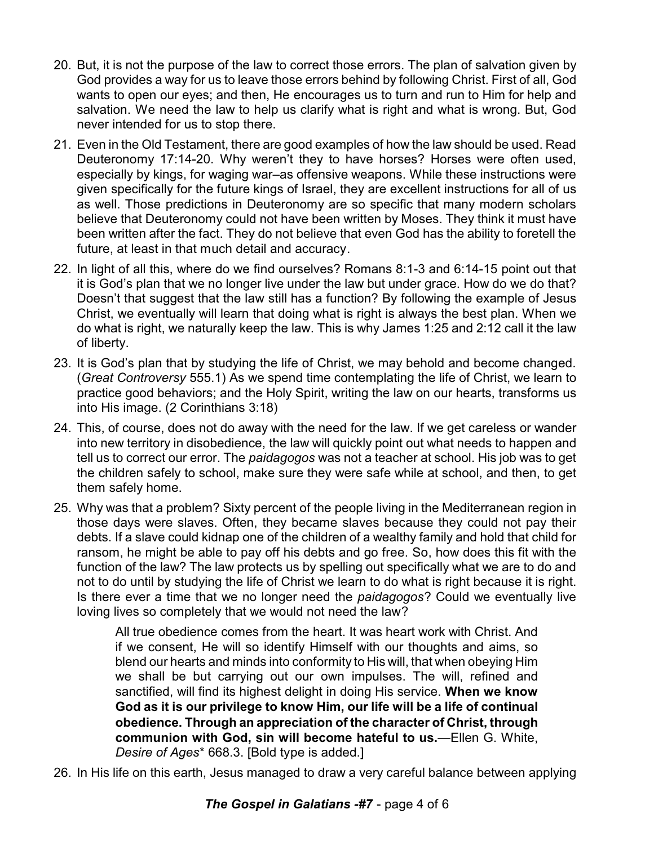- 20. But, it is not the purpose of the law to correct those errors. The plan of salvation given by God provides a way for us to leave those errors behind by following Christ. First of all, God wants to open our eyes; and then, He encourages us to turn and run to Him for help and salvation. We need the law to help us clarify what is right and what is wrong. But, God never intended for us to stop there.
- 21. Even in the Old Testament, there are good examples of how the law should be used. Read Deuteronomy 17:14-20. Why weren't they to have horses? Horses were often used, especially by kings, for waging war–as offensive weapons. While these instructions were given specifically for the future kings of Israel, they are excellent instructions for all of us as well. Those predictions in Deuteronomy are so specific that many modern scholars believe that Deuteronomy could not have been written by Moses. They think it must have been written after the fact. They do not believe that even God has the ability to foretell the future, at least in that much detail and accuracy.
- 22. In light of all this, where do we find ourselves? Romans 8:1-3 and 6:14-15 point out that it is God's plan that we no longer live under the law but under grace. How do we do that? Doesn't that suggest that the law still has a function? By following the example of Jesus Christ, we eventually will learn that doing what is right is always the best plan. When we do what is right, we naturally keep the law. This is why James 1:25 and 2:12 call it the law of liberty.
- 23. It is God's plan that by studying the life of Christ, we may behold and become changed. (*Great Controversy* 555.1) As we spend time contemplating the life of Christ, we learn to practice good behaviors; and the Holy Spirit, writing the law on our hearts, transforms us into His image. (2 Corinthians 3:18)
- 24. This, of course, does not do away with the need for the law. If we get careless or wander into new territory in disobedience, the law will quickly point out what needs to happen and tell us to correct our error. The *paidagogos* was not a teacher at school. His job was to get the children safely to school, make sure they were safe while at school, and then, to get them safely home.
- 25. Why was that a problem? Sixty percent of the people living in the Mediterranean region in those days were slaves. Often, they became slaves because they could not pay their debts. If a slave could kidnap one of the children of a wealthy family and hold that child for ransom, he might be able to pay off his debts and go free. So, how does this fit with the function of the law? The law protects us by spelling out specifically what we are to do and not to do until by studying the life of Christ we learn to do what is right because it is right. Is there ever a time that we no longer need the *paidagogos*? Could we eventually live loving lives so completely that we would not need the law?

All true obedience comes from the heart. It was heart work with Christ. And if we consent, He will so identify Himself with our thoughts and aims, so blend our hearts and minds into conformity to His will, that when obeying Him we shall be but carrying out our own impulses. The will, refined and sanctified, will find its highest delight in doing His service. **When we know God as it is our privilege to know Him, our life will be a life of continual obedience. Through an appreciation of the character of Christ, through communion with God, sin will become hateful to us.**—Ellen G. White, *Desire of Ages*\* 668.3. [Bold type is added.]

26. In His life on this earth, Jesus managed to draw a very careful balance between applying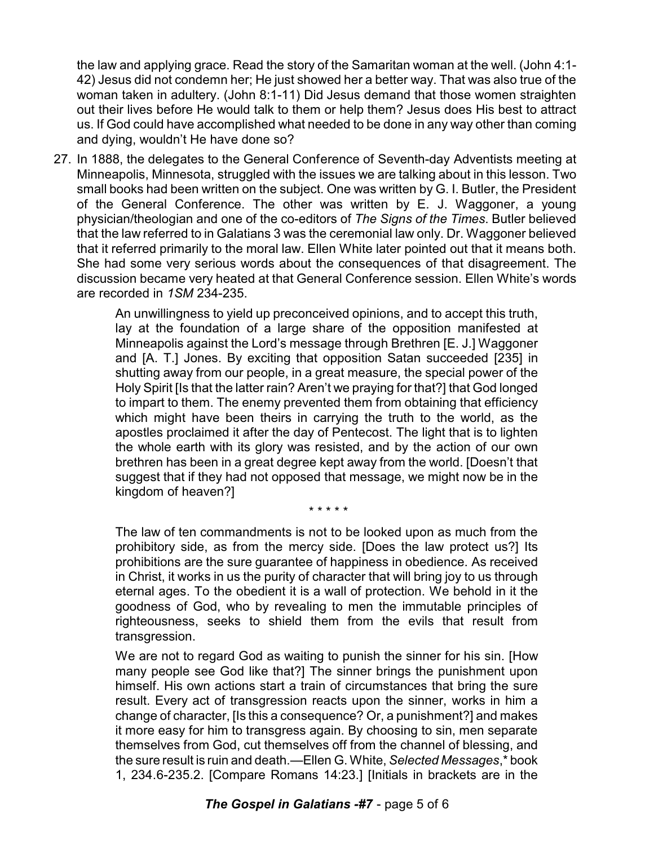the law and applying grace. Read the story of the Samaritan woman at the well. (John 4:1- 42) Jesus did not condemn her; He just showed her a better way. That was also true of the woman taken in adultery. (John 8:1-11) Did Jesus demand that those women straighten out their lives before He would talk to them or help them? Jesus does His best to attract us. If God could have accomplished what needed to be done in any way other than coming and dying, wouldn't He have done so?

27. In 1888, the delegates to the General Conference of Seventh-day Adventists meeting at Minneapolis, Minnesota, struggled with the issues we are talking about in this lesson. Two small books had been written on the subject. One was written by G. I. Butler, the President of the General Conference. The other was written by E. J. Waggoner, a young physician/theologian and one of the co-editors of *The Signs of the Times*. Butler believed that the law referred to in Galatians 3 was the ceremonial law only. Dr. Waggoner believed that it referred primarily to the moral law. Ellen White later pointed out that it means both. She had some very serious words about the consequences of that disagreement. The discussion became very heated at that General Conference session. Ellen White's words are recorded in *1SM* 234-235.

> An unwillingness to yield up preconceived opinions, and to accept this truth, lay at the foundation of a large share of the opposition manifested at Minneapolis against the Lord's message through Brethren [E. J.] Waggoner and [A. T.] Jones. By exciting that opposition Satan succeeded [235] in shutting away from our people, in a great measure, the special power of the Holy Spirit [Is that the latter rain? Aren't we praying for that?] that God longed to impart to them. The enemy prevented them from obtaining that efficiency which might have been theirs in carrying the truth to the world, as the apostles proclaimed it after the day of Pentecost. The light that is to lighten the whole earth with its glory was resisted, and by the action of our own brethren has been in a great degree kept away from the world. [Doesn't that suggest that if they had not opposed that message, we might now be in the kingdom of heaven?]

> > \* \* \* \* \*

The law of ten commandments is not to be looked upon as much from the prohibitory side, as from the mercy side. [Does the law protect us?] Its prohibitions are the sure guarantee of happiness in obedience. As received in Christ, it works in us the purity of character that will bring joy to us through eternal ages. To the obedient it is a wall of protection. We behold in it the goodness of God, who by revealing to men the immutable principles of righteousness, seeks to shield them from the evils that result from transgression.

We are not to regard God as waiting to punish the sinner for his sin. [How many people see God like that?] The sinner brings the punishment upon himself. His own actions start a train of circumstances that bring the sure result. Every act of transgression reacts upon the sinner, works in him a change of character, [Is this a consequence? Or, a punishment?] and makes it more easy for him to transgress again. By choosing to sin, men separate themselves from God, cut themselves off from the channel of blessing, and the sure result is ruin and death.—Ellen G. White, *Selected Messages*,\* book 1, 234.6-235.2. [Compare Romans 14:23.] [Initials in brackets are in the

## *The Gospel in Galatians -#7* - page 5 of 6